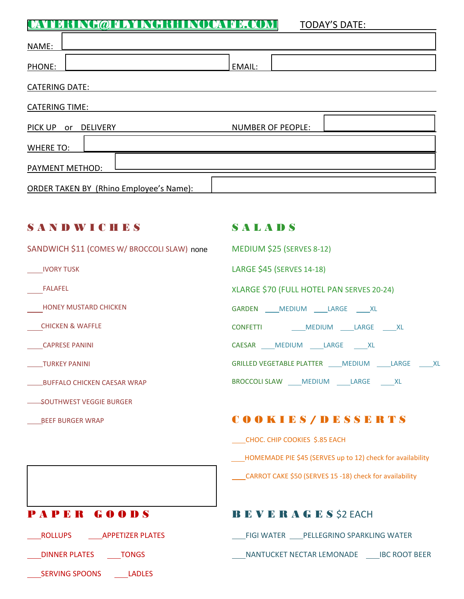[CATERING@FLYINGRHINOCAFE.COM](mailto:CATERING@FLYINGRHINOCAFE.COM) TODAY'S DATE:

| NAME:                                          |                                                            |
|------------------------------------------------|------------------------------------------------------------|
| PHONE:                                         | EMAIL:                                                     |
| CATERING DATE:                                 |                                                            |
| <b>CATERING TIME:</b>                          |                                                            |
| PICK UP or DELIVERY                            | NUMBER OF PEOPLE:                                          |
| <b>WHERE TO:</b>                               |                                                            |
| <b>PAYMENT METHOD:</b>                         |                                                            |
| <b>ORDER TAKEN BY (Rhino Employee's Name):</b> |                                                            |
|                                                |                                                            |
| <b>SANDWICHES</b>                              | <b>SALADS</b>                                              |
| SANDWICH \$11 (COMES W/ BROCCOLI SLAW) none    | <b>MEDIUM \$25 (SERVES 8-12)</b>                           |
| <b>IVORY TUSK</b>                              | LARGE \$45 (SERVES 14-18)                                  |
| FALAFEL                                        | XLARGE \$70 (FULL HOTEL PAN SERVES 20-24)                  |
| <b>HONEY MUSTARD CHICKEN</b>                   | GARDEN ___ MEDIUM ___ LARGE ___ XL                         |
| <b>CHICKEN &amp; WAFFLE</b>                    | CONFETTI MEDIUM LARGE XL                                   |
| <b>CAPRESE PANINI</b>                          | CAESAR ____ MEDIUM _____ LARGE _____ XL                    |
| TURKEY PANINI                                  | GRILLED VEGETABLE PLATTER ____ MEDIUM _____ LARGE _____ XL |
| <b>BUFFALO CHICKEN CAESAR WRAP</b>             | BROCCOLI SLAW ____ MEDIUM ____ LARGE _____ XL              |
| SOUTHWEST VEGGIE BURGER                        |                                                            |
| <b>BEEF BURGER WRAP</b>                        | COOKIES/DESSERTS                                           |
|                                                | CHOC. CHIP COOKIES \$.85 EACH                              |
|                                                | HOMEMADE PIE \$45 (SERVES up to 12) check for availability |
|                                                | CARROT CAKE \$50 (SERVES 15 -18) check for availability    |

LADLES<br>
SERVING SPOONS<br>
LADLES

# PAPER GOODS BEVERAGES\$2 EACH

ROLLUPS APPETIZER PLATES FIGI WATER PELLEGRINO SPARKLING WATER

LARGININER PLATES LARGINGS AND TONGS AND MANTUCKET NECTAR LEMONADE LARGINING THE ROOT BEER